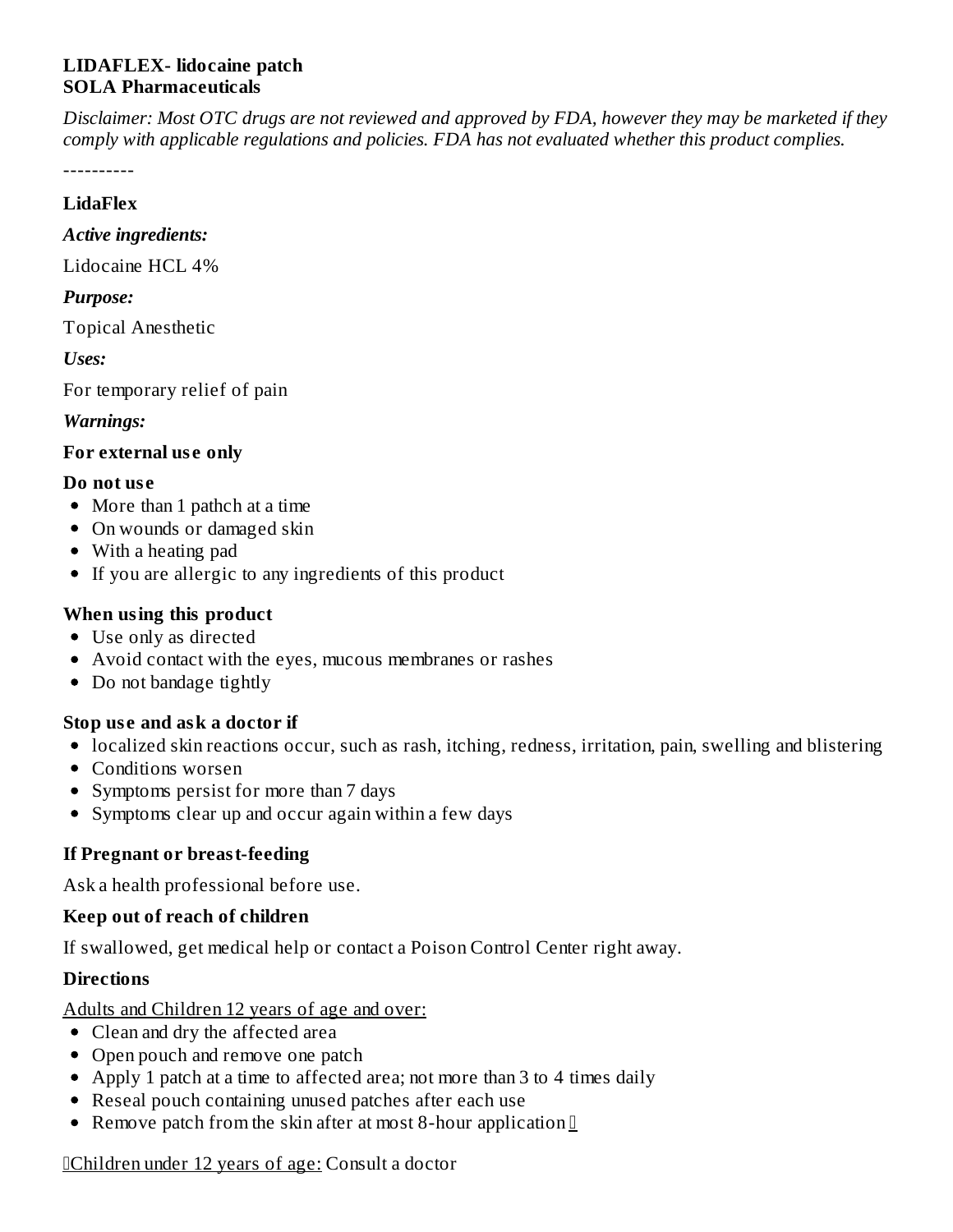## **LIDAFLEX- lidocaine patch SOLA Pharmaceuticals**

Disclaimer: Most OTC drugs are not reviewed and approved by FDA, however they may be marketed if they *comply with applicable regulations and policies. FDA has not evaluated whether this product complies.*

----------

#### **LidaFlex**

#### *Active ingredients:*

Lidocaine HCL 4%

## *Purpose:*

Topical Anesthetic

*Uses:*

For temporary relief of pain

## *Warnings:*

## **For external us e only**

#### **Do not us e**

- More than 1 pathch at a time
- On wounds or damaged skin
- With a heating pad
- If you are allergic to any ingredients of this product

## **When using this product**

- Use only as directed
- Avoid contact with the eyes, mucous membranes or rashes
- Do not bandage tightly

## **Stop us e and ask a doctor if**

- localized skin reactions occur, such as rash, itching, redness, irritation, pain, swelling and blistering
- Conditions worsen
- Symptoms persist for more than 7 days
- Symptoms clear up and occur again within a few days

# **If Pregnant or breast-feeding**

Ask a health professional before use.

## **Keep out of reach of children**

If swallowed, get medical help or contact a Poison Control Center right away.

## **Directions**

Adults and Children 12 years of age and over:

- Clean and dry the affected area
- Open pouch and remove one patch
- Apply 1 patch at a time to affected area; not more than 3 to 4 times daily
- Reseal pouch containing unused patches after each use
- Remove patch from the skin after at most 8-hour application  $\mathbb I$

Children under 12 years of age: Consult a doctor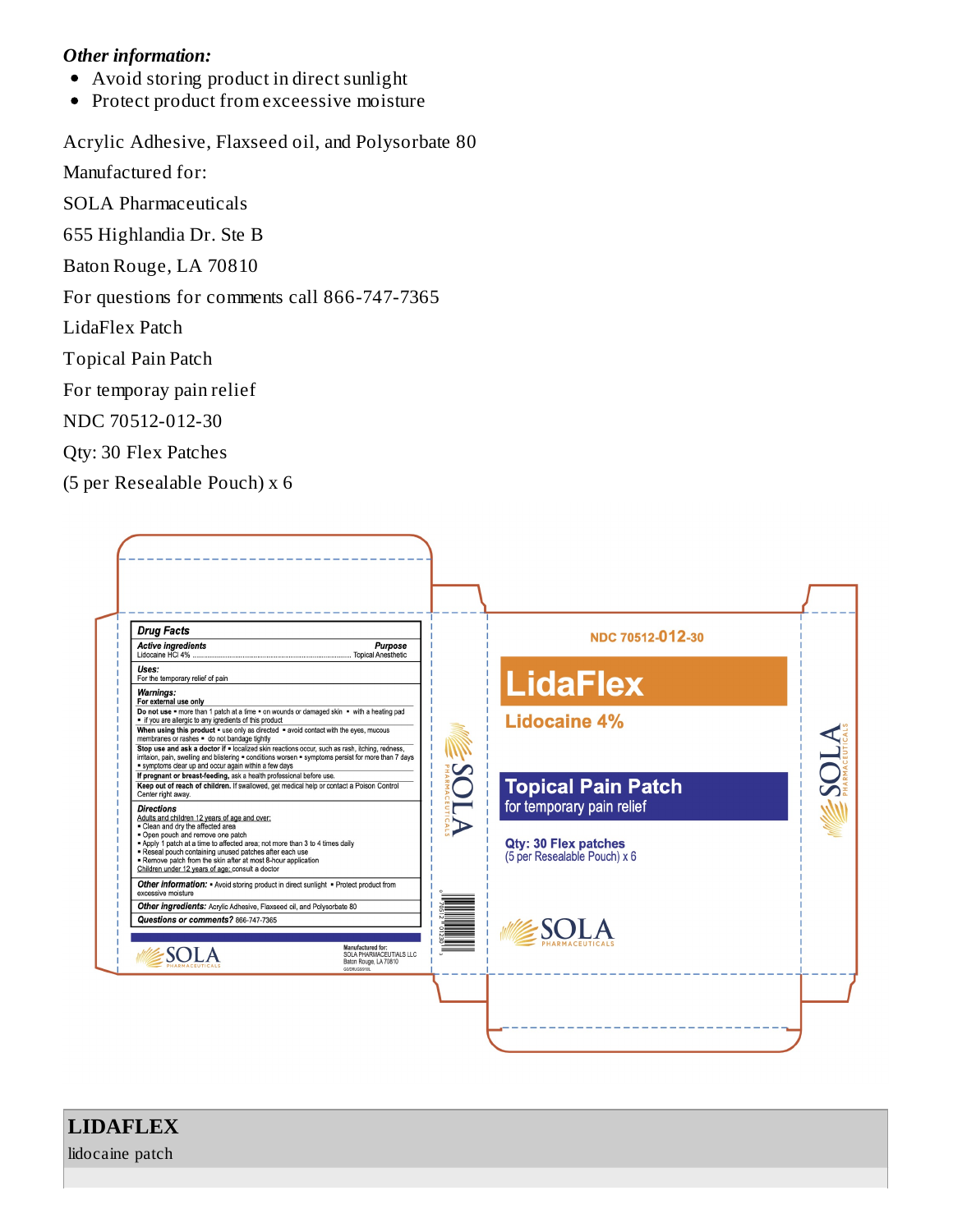#### *Other information:*

- Avoid storing product in direct sunlight  $\bullet$
- Protect product from exceessive moisture  $\bullet$

Acrylic Adhesive, Flaxseed oil, and Polysorbate 80

Manufactured for:

SOLA Pharmaceuticals

655 Highlandia Dr. Ste B

Baton Rouge, LA 70810

For questions for comments call 866-747-7365

LidaFlex Patch

Topical Pain Patch

For temporay pain relief

NDC 70512-012-30

Qty: 30 Flex Patches

(5 per Resealable Pouch) x 6



# **LIDAFLEX**

lidocaine patch